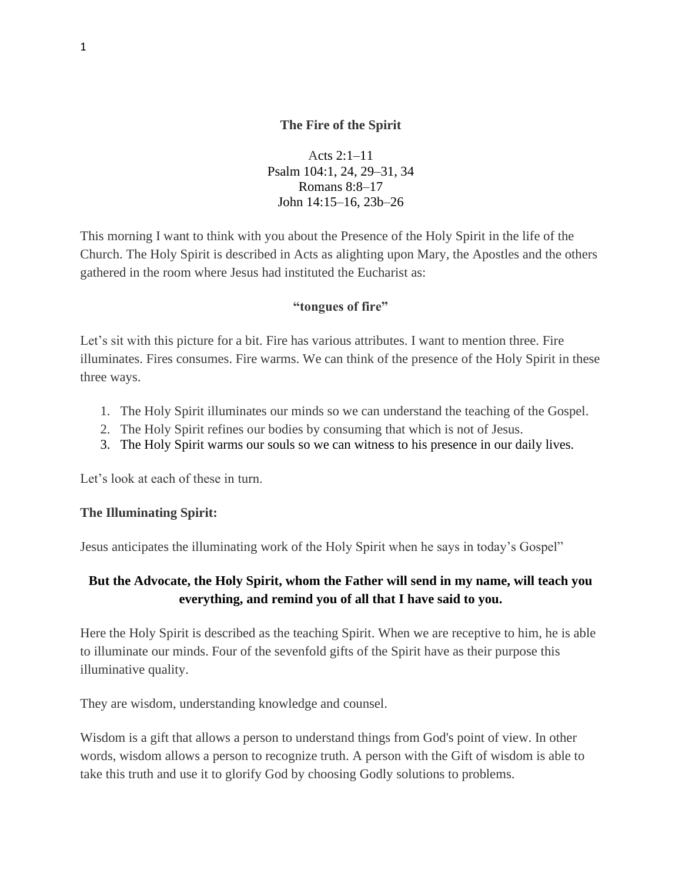### **The Fire of the Spirit**

Acts 2:1–11 Psalm 104:1, 24, 29–31, 34 Romans 8:8–17 John 14:15–16, 23b–26

This morning I want to think with you about the Presence of the Holy Spirit in the life of the Church. The Holy Spirit is described in Acts as alighting upon Mary, the Apostles and the others gathered in the room where Jesus had instituted the Eucharist as:

#### **"tongues of fire"**

Let's sit with this picture for a bit. Fire has various attributes. I want to mention three. Fire illuminates. Fires consumes. Fire warms. We can think of the presence of the Holy Spirit in these three ways.

- 1. The Holy Spirit illuminates our minds so we can understand the teaching of the Gospel.
- 2. The Holy Spirit refines our bodies by consuming that which is not of Jesus.
- 3. The Holy Spirit warms our souls so we can witness to his presence in our daily lives.

Let's look at each of these in turn.

#### **The Illuminating Spirit:**

Jesus anticipates the illuminating work of the Holy Spirit when he says in today's Gospel"

## **But the Advocate, the Holy Spirit, whom the Father will send in my name, will teach you everything, and remind you of all that I have said to you.**

Here the Holy Spirit is described as the teaching Spirit. When we are receptive to him, he is able to illuminate our minds. Four of the sevenfold gifts of the Spirit have as their purpose this illuminative quality.

They are wisdom, understanding knowledge and counsel.

Wisdom is a gift that allows a person to understand things from God's point of view. In other words, wisdom allows a person to recognize truth. A person with the Gift of wisdom is able to take this truth and use it to glorify God by choosing Godly solutions to problems.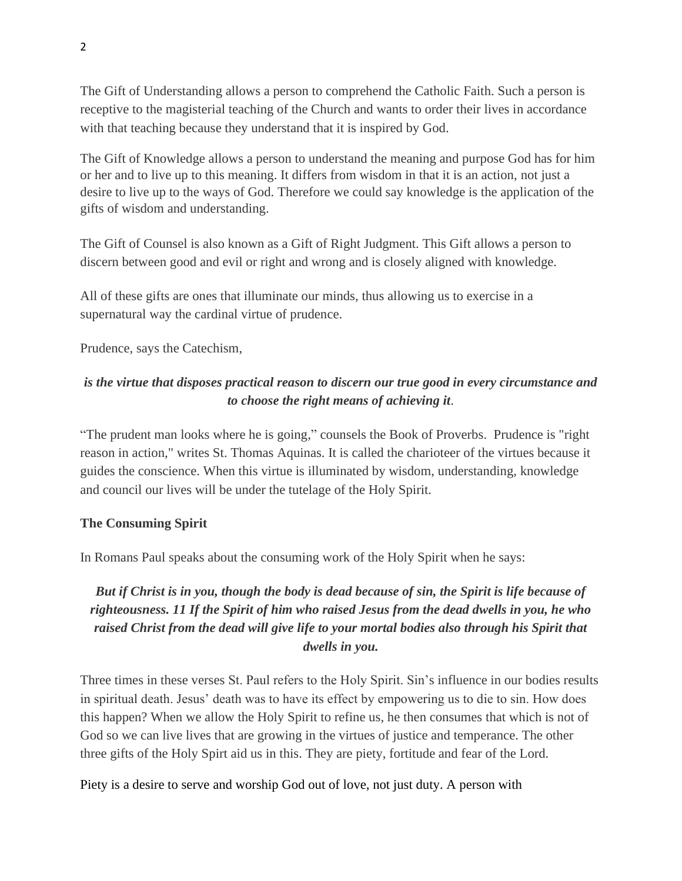The Gift of Understanding allows a person to comprehend the Catholic Faith. Such a person is receptive to the magisterial teaching of the Church and wants to order their lives in accordance with that teaching because they understand that it is inspired by God.

The Gift of Knowledge allows a person to understand the meaning and purpose God has for him or her and to live up to this meaning. It differs from wisdom in that it is an action, not just a desire to live up to the ways of God. Therefore we could say knowledge is the application of the gifts of wisdom and understanding.

The Gift of Counsel is also known as a Gift of Right Judgment. This Gift allows a person to discern between good and evil or right and wrong and is closely aligned with knowledge.

All of these gifts are ones that illuminate our minds, thus allowing us to exercise in a supernatural way the cardinal virtue of prudence.

Prudence, says the Catechism,

## *is the virtue that disposes practical reason to discern our true good in every circumstance and to choose the right means of achieving it*.

"The prudent man looks where he is going," counsels the Book of Proverbs. Prudence is "right reason in action," writes St. Thomas Aquinas. It is called the charioteer of the virtues because it guides the conscience. When this virtue is illuminated by wisdom, understanding, knowledge and council our lives will be under the tutelage of the Holy Spirit.

### **The Consuming Spirit**

In Romans Paul speaks about the consuming work of the Holy Spirit when he says:

# *But if Christ is in you, though the body is dead because of sin, the Spirit is life because of righteousness. 11 If the Spirit of him who raised Jesus from the dead dwells in you, he who raised Christ from the dead will give life to your mortal bodies also through his Spirit that dwells in you.*

Three times in these verses St. Paul refers to the Holy Spirit. Sin's influence in our bodies results in spiritual death. Jesus' death was to have its effect by empowering us to die to sin. How does this happen? When we allow the Holy Spirit to refine us, he then consumes that which is not of God so we can live lives that are growing in the virtues of justice and temperance. The other three gifts of the Holy Spirt aid us in this. They are piety, fortitude and fear of the Lord.

Piety is a desire to serve and worship God out of love, not just duty. A person with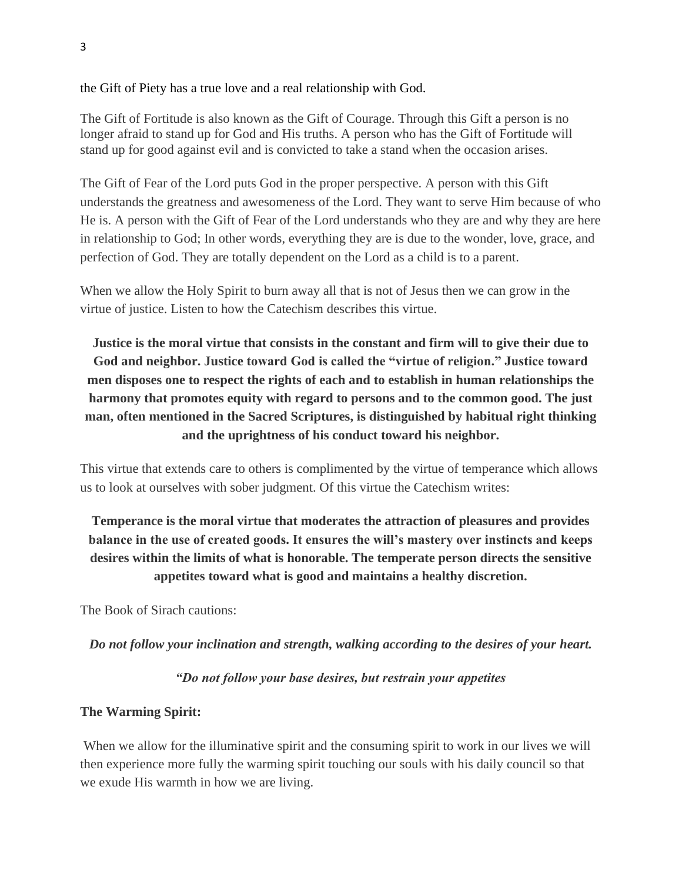the Gift of Piety has a true love and a real relationship with God.

The Gift of Fortitude is also known as the Gift of Courage. Through this Gift a person is no longer afraid to stand up for God and His truths. A person who has the Gift of Fortitude will stand up for good against evil and is convicted to take a stand when the occasion arises.

The Gift of Fear of the Lord puts God in the proper perspective. A person with this Gift understands the greatness and awesomeness of the Lord. They want to serve Him because of who He is. A person with the Gift of Fear of the Lord understands who they are and why they are here in relationship to God; In other words, everything they are is due to the wonder, love, grace, and perfection of God. They are totally dependent on the Lord as a child is to a parent.

When we allow the Holy Spirit to burn away all that is not of Jesus then we can grow in the virtue of justice. Listen to how the Catechism describes this virtue.

**Justice is the moral virtue that consists in the constant and firm will to give their due to God and neighbor. Justice toward God is called the "virtue of religion." Justice toward men disposes one to respect the rights of each and to establish in human relationships the harmony that promotes equity with regard to persons and to the common good. The just man, often mentioned in the Sacred Scriptures, is distinguished by habitual right thinking and the uprightness of his conduct toward his neighbor.**

This virtue that extends care to others is complimented by the virtue of temperance which allows us to look at ourselves with sober judgment. Of this virtue the Catechism writes:

# **Temperance is the moral virtue that moderates the attraction of pleasures and provides balance in the use of created goods. It ensures the will's mastery over instincts and keeps desires within the limits of what is honorable. The temperate person directs the sensitive appetites toward what is good and maintains a healthy discretion.**

The Book of Sirach cautions:

### *Do not follow your inclination and strength, walking according to the desires of your heart.*

### *"Do not follow your base desires, but restrain your appetites*

### **The Warming Spirit:**

When we allow for the illuminative spirit and the consuming spirit to work in our lives we will then experience more fully the warming spirit touching our souls with his daily council so that we exude His warmth in how we are living.